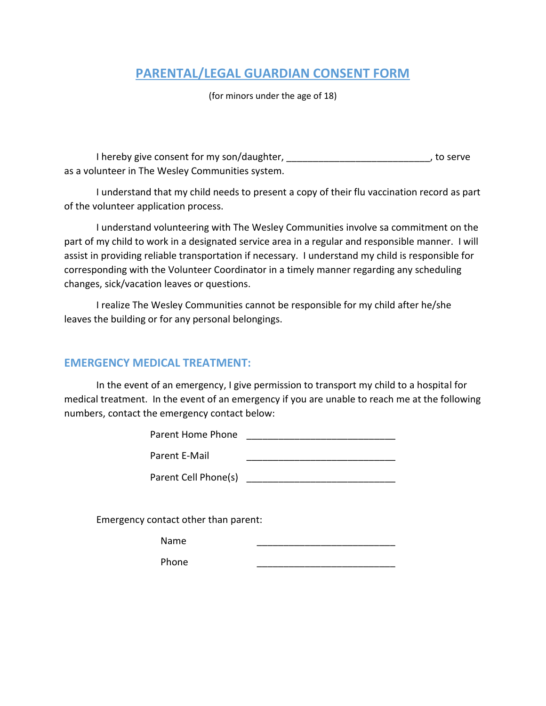## **PARENTAL/LEGAL GUARDIAN CONSENT FORM**

(for minors under the age of 18)

I hereby give consent for my son/daughter, \_\_\_\_\_\_\_\_\_\_\_\_\_\_\_\_\_\_\_\_\_\_\_\_\_\_\_, to serve as a volunteer in The Wesley Communities system.

I understand that my child needs to present a copy of their flu vaccination record as part of the volunteer application process.

I understand volunteering with The Wesley Communities involve sa commitment on the part of my child to work in a designated service area in a regular and responsible manner. I will assist in providing reliable transportation if necessary. I understand my child is responsible for corresponding with the Volunteer Coordinator in a timely manner regarding any scheduling changes, sick/vacation leaves or questions.

I realize The Wesley Communities cannot be responsible for my child after he/she leaves the building or for any personal belongings.

## **EMERGENCY MEDICAL TREATMENT:**

In the event of an emergency, I give permission to transport my child to a hospital for medical treatment. In the event of an emergency if you are unable to reach me at the following numbers, contact the emergency contact below:

| Parent Home Phone    |  |
|----------------------|--|
| Parent E-Mail        |  |
| Parent Cell Phone(s) |  |

Emergency contact other than parent:

Name \_\_\_\_\_\_\_\_\_\_\_\_\_\_\_\_\_\_\_\_\_\_\_\_\_\_

Phone